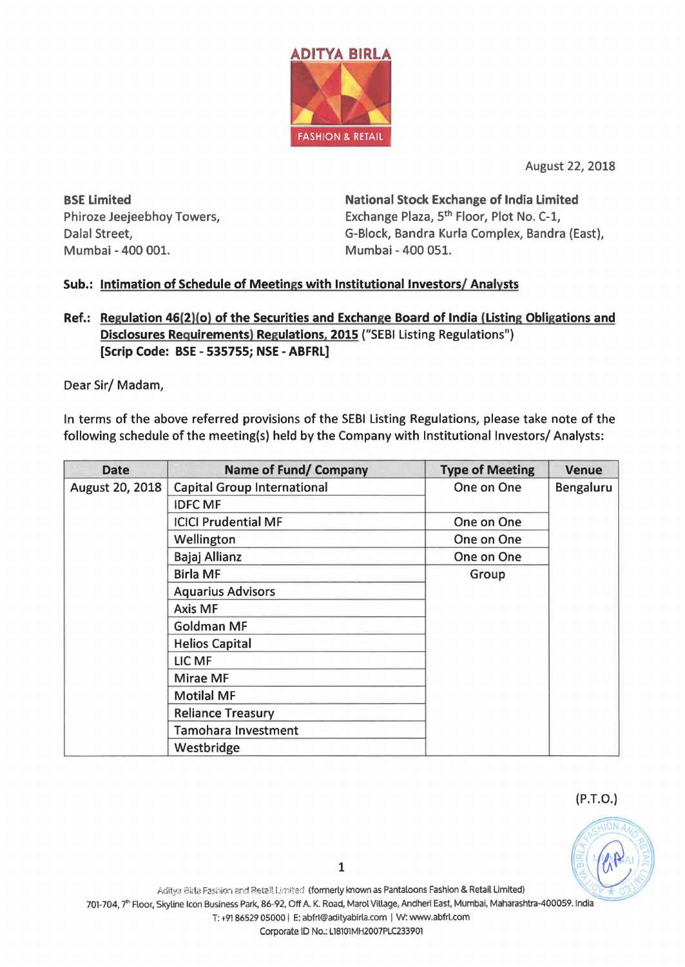

August 22, 2018

BSE Limited Phiroze Jeejeebhoy Towers, Dalal Street, Mumbai - 400 001. Mumbai - 400 051.

National Stock Exchange of India Limited Exchange Plaza, 5<sup>th</sup> Floor, Plot No. C-1, G-Block, Bandra Kurla Complex, Bandra (East),

## Sub.: Intimation of Schedule of Meetings with Institutional Investors/ Analysts

## Ref.: Regulation 46(2)(0) of the Securities and Exchange Board of India (Listing Obligations and Disclosures Requirements) Regulations, 2015 ("SEBI Listing Regulations") [Scrip Code: BSE - 535755; NSE - ABFRL]

Dear Sir/ Madam,

In terms of the above referred provisions of the SEBI Listing Regulations, please take note of the following schedule of the meeting(s) held by the Company with Institutional Investors/ Analysts:

| <b>Date</b>     | Name of Fund/ Company              | <b>Type of Meeting</b> | <b>Venue</b> |
|-----------------|------------------------------------|------------------------|--------------|
| August 20, 2018 | <b>Capital Group International</b> | One on One             | Bengaluru    |
|                 | <b>IDFC MF</b>                     |                        |              |
|                 | <b>ICICI Prudential MF</b>         | One on One             |              |
|                 | Wellington                         | One on One             |              |
|                 | Bajaj Allianz                      | One on One             |              |
|                 | <b>Birla MF</b>                    | Group                  |              |
|                 | <b>Aquarius Advisors</b>           |                        |              |
|                 | Axis MF                            |                        |              |
|                 | <b>Goldman MF</b>                  |                        |              |
|                 | <b>Helios Capital</b>              |                        |              |
|                 | LIC MF                             |                        |              |
|                 | Mirae MF                           |                        |              |
|                 | <b>Motilal MF</b>                  |                        |              |
|                 | <b>Reliance Treasury</b>           |                        |              |
|                 | Tamohara Investment                |                        |              |
|                 | Westbridge                         |                        |              |

(P.T.O.)

T: +9186529 05000 I E: abfrl@adityablrla.com I W: www.abfrl.com

Corporate ID No.: L18101MH2007PLC233901